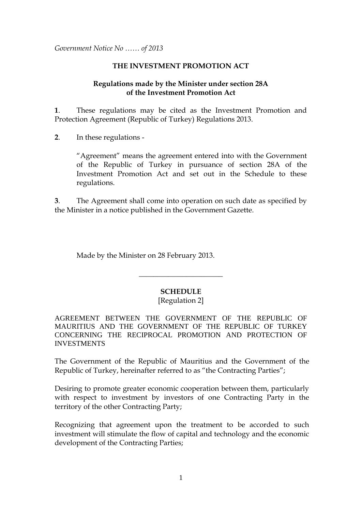*Government Notice No …… of 2013*

## **THE INVESTMENT PROMOTION ACT**

## **Regulations made by the Minister under section 28A of the Investment Promotion Act**

**1**. These regulations may be cited as the Investment Promotion and Protection Agreement (Republic of Turkey) Regulations 2013.

**2**. In these regulations -

"Agreement" means the agreement entered into with the Government of the Republic of Turkey in pursuance of section 28A of the Investment Promotion Act and set out in the Schedule to these regulations.

**3**. The Agreement shall come into operation on such date as specified by the Minister in a notice published in the Government Gazette.

Made by the Minister on 28 February 2013.

## **SCHEDULE**

 $\overline{\phantom{a}}$  , where  $\overline{\phantom{a}}$  , where  $\overline{\phantom{a}}$  , where  $\overline{\phantom{a}}$ 

# [Regulation 2]

AGREEMENT BETWEEN THE GOVERNMENT OF THE REPUBLIC OF MAURITIUS AND THE GOVERNMENT OF THE REPUBLIC OF TURKEY CONCERNING THE RECIPROCAL PROMOTION AND PROTECTION OF INVESTMENTS

The Government of the Republic of Mauritius and the Government of the Republic of Turkey, hereinafter referred to as "the Contracting Parties";

Desiring to promote greater economic cooperation between them, particularly with respect to investment by investors of one Contracting Party in the territory of the other Contracting Party;

Recognizing that agreement upon the treatment to be accorded to such investment will stimulate the flow of capital and technology and the economic development of the Contracting Parties;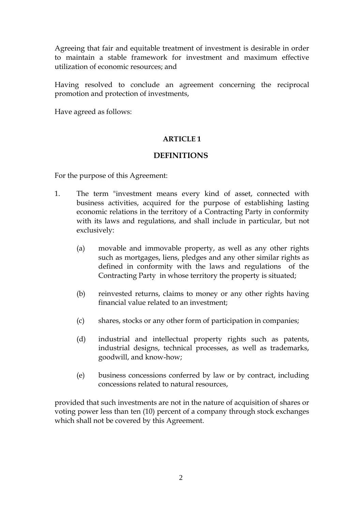Agreeing that fair and equitable treatment of investment is desirable in order to maintain a stable framework for investment and maximum effective utilization of economic resources; and

Having resolved to conclude an agreement concerning the reciprocal promotion and protection of investments,

Have agreed as follows:

# **ARTICLE 1**

# **DEFINITIONS**

For the purpose of this Agreement:

- 1. The term "investment means every kind of asset, connected with business activities, acquired for the purpose of establishing lasting economic relations in the territory of a Contracting Party in conformity with its laws and regulations, and shall include in particular, but not exclusively:
	- (a) movable and immovable property, as well as any other rights such as mortgages, liens, pledges and any other similar rights as defined in conformity with the laws and regulations of the Contracting Party in whose territory the property is situated;
	- (b) reinvested returns, claims to money or any other rights having financial value related to an investment;
	- (c) shares, stocks or any other form of participation in companies;
	- (d) industrial and intellectual property rights such as patents, industrial designs, technical processes, as well as trademarks, goodwill, and know-how;
	- (e) business concessions conferred by law or by contract, including concessions related to natural resources,

provided that such investments are not in the nature of acquisition of shares or voting power less than ten (10) percent of a company through stock exchanges which shall not be covered by this Agreement.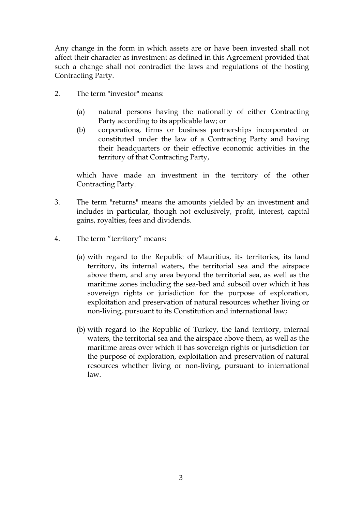Any change in the form in which assets are or have been invested shall not affect their character as investment as defined in this Agreement provided that such a change shall not contradict the laws and regulations of the hosting Contracting Party.

- 2. The term "investor" means:
	- (a) natural persons having the nationality of either Contracting Party according to its applicable law; or
	- (b) corporations, firms or business partnerships incorporated or constituted under the law of a Contracting Party and having their headquarters or their effective economic activities in the territory of that Contracting Party,

which have made an investment in the territory of the other Contracting Party.

- 3. The term "returns" means the amounts yielded by an investment and includes in particular, though not exclusively, profit, interest, capital gains, royalties, fees and dividends.
- 4. The term "territory" means:
	- (a) with regard to the Republic of Mauritius, its territories, its land territory, its internal waters, the territorial sea and the airspace above them, and any area beyond the territorial sea, as well as the maritime zones including the sea-bed and subsoil over which it has sovereign rights or jurisdiction for the purpose of exploration, exploitation and preservation of natural resources whether living or non-living, pursuant to its Constitution and international law;
	- (b) with regard to the Republic of Turkey, the land territory, internal waters, the territorial sea and the airspace above them, as well as the maritime areas over which it has sovereign rights or jurisdiction for the purpose of exploration, exploitation and preservation of natural resources whether living or non-living, pursuant to international law.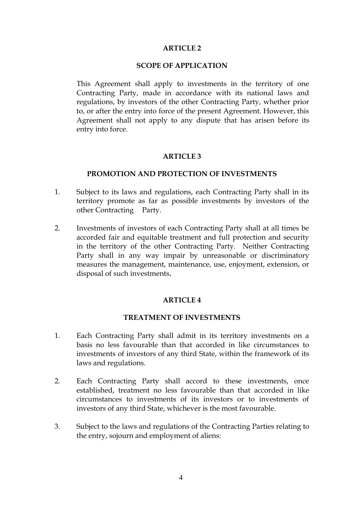### **ARTICLE 2**

### **SCOPE OF APPLICATION**

This Agreement shall apply to investments in the territory of one Contracting Party, made in accordance with its national laws and regulations, by investors of the other Contracting Party, whether prior to, or after the entry into force of the present Agreement. However, this Agreement shall not apply to any dispute that has arisen before its entry into force.

## **ARTICLE 3**

### **PROMOTION AND PROTECTION OF INVESTMENTS**

- 1. Subject to its laws and regulations, each Contracting Party shall in its territory promote as far as possible investments by investors of the other Contracting Party.
- 2. Investments of investors of each Contracting Party shall at all times be accorded fair and equitable treatment and full protection and security in the territory of the other Contracting Party. Neither Contracting Party shall in any way impair by unreasonable or discriminatory measures the management, maintenance, use, enjoyment, extension, or disposal of such investments**.**

## **ARTICLE 4**

### **TREATMENT OF INVESTMENTS**

- 1. Each Contracting Party shall admit in its territory investments on a basis no less favourable than that accorded in like circumstances to investments of investors of any third State, within the framework of its laws and regulations.
- 2. Each Contracting Party shall accord to these investments, once established, treatment no less favourable than that accorded in like circumstances to investments of its investors or to investments of investors of any third State, whichever is the most favourable.
- 3. Subject to the laws and regulations of the Contracting Parties relating to the entry, sojourn and employment of aliens: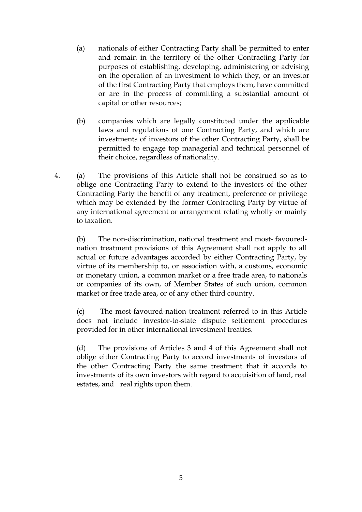- (a) nationals of either Contracting Party shall be permitted to enter and remain in the territory of the other Contracting Party for purposes of establishing, developing, administering or advising on the operation of an investment to which they, or an investor of the first Contracting Party that employs them, have committed or are in the process of committing a substantial amount of capital or other resources;
- (b) companies which are legally constituted under the applicable laws and regulations of one Contracting Party, and which are investments of investors of the other Contracting Party, shall be permitted to engage top managerial and technical personnel of their choice, regardless of nationality.
- 4. (a) The provisions of this Article shall not be construed so as to oblige one Contracting Party to extend to the investors of the other Contracting Party the benefit of any treatment, preference or privilege which may be extended by the former Contracting Party by virtue of any international agreement or arrangement relating wholly or mainly to taxation.

(b) The non-discrimination, national treatment and most- favourednation treatment provisions of this Agreement shall not apply to all actual or future advantages accorded by either Contracting Party, by virtue of its membership to, or association with, a customs, economic or monetary union, a common market or a free trade area, to nationals or companies of its own, of Member States of such union, common market or free trade area, or of any other third country.

(c) The most-favoured-nation treatment referred to in this Article does not include investor-to-state dispute settlement procedures provided for in other international investment treaties.

(d) The provisions of Articles 3 and 4 of this Agreement shall not oblige either Contracting Party to accord investments of investors of the other Contracting Party the same treatment that it accords to investments of its own investors with regard to acquisition of land, real estates, and real rights upon them.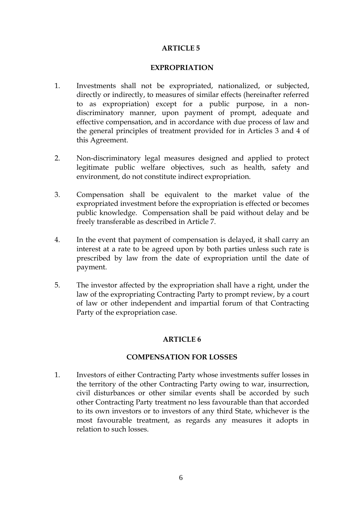## **ARTICLE 5**

### **EXPROPRIATION**

- 1. Investments shall not be expropriated, nationalized, or subjected, directly or indirectly, to measures of similar effects (hereinafter referred to as expropriation) except for a public purpose, in a nondiscriminatory manner, upon payment of prompt, adequate and effective compensation, and in accordance with due process of law and the general principles of treatment provided for in Articles 3 and 4 of this Agreement.
- 2. Non-discriminatory legal measures designed and applied to protect legitimate public welfare objectives, such as health, safety and environment, do not constitute indirect expropriation.
- 3. Compensation shall be equivalent to the market value of the expropriated investment before the expropriation is effected or becomes public knowledge. Compensation shall be paid without delay and be freely transferable as described in Article 7.
- 4. In the event that payment of compensation is delayed, it shall carry an interest at a rate to be agreed upon by both parties unless such rate is prescribed by law from the date of expropriation until the date of payment.
- 5. The investor affected by the expropriation shall have a right, under the law of the expropriating Contracting Party to prompt review, by a court of law or other independent and impartial forum of that Contracting Party of the expropriation case.

# **ARTICLE 6**

## **COMPENSATION FOR LOSSES**

1. Investors of either Contracting Party whose investments suffer losses in the territory of the other Contracting Party owing to war, insurrection, civil disturbances or other similar events shall be accorded by such other Contracting Party treatment no less favourable than that accorded to its own investors or to investors of any third State, whichever is the most favourable treatment, as regards any measures it adopts in relation to such losses.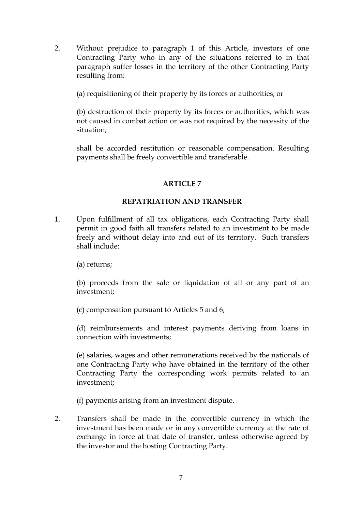2. Without prejudice to paragraph 1 of this Article, investors of one Contracting Party who in any of the situations referred to in that paragraph suffer losses in the territory of the other Contracting Party resulting from:

(a) requisitioning of their property by its forces or authorities; or

(b) destruction of their property by its forces or authorities, which was not caused in combat action or was not required by the necessity of the situation;

shall be accorded restitution or reasonable compensation. Resulting payments shall be freely convertible and transferable.

# **ARTICLE 7**

## **REPATRIATION AND TRANSFER**

1. Upon fulfillment of all tax obligations, each Contracting Party shall permit in good faith all transfers related to an investment to be made freely and without delay into and out of its territory. Such transfers shall include:

(a) returns;

(b) proceeds from the sale or liquidation of all or any part of an investment;

(c) compensation pursuant to Articles 5 and 6;

(d) reimbursements and interest payments deriving from loans in connection with investments;

(e) salaries, wages and other remunerations received by the nationals of one Contracting Party who have obtained in the territory of the other Contracting Party the corresponding work permits related to an investment;

(f) payments arising from an investment dispute.

2. Transfers shall be made in the convertible currency in which the investment has been made or in any convertible currency at the rate of exchange in force at that date of transfer, unless otherwise agreed by the investor and the hosting Contracting Party.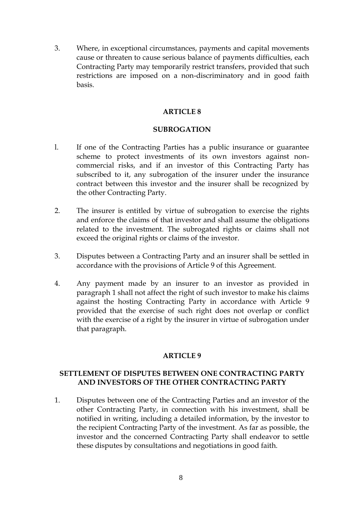3. Where, in exceptional circumstances, payments and capital movements cause or threaten to cause serious balance of payments difficulties, each Contracting Party may temporarily restrict transfers, provided that such restrictions are imposed on a non-discriminatory and in good faith basis.

## **ARTICLE 8**

## **SUBROGATION**

- l. If one of the Contracting Parties has a public insurance or guarantee scheme to protect investments of its own investors against noncommercial risks, and if an investor of this Contracting Party has subscribed to it, any subrogation of the insurer under the insurance contract between this investor and the insurer shall be recognized by the other Contracting Party.
- 2. The insurer is entitled by virtue of subrogation to exercise the rights and enforce the claims of that investor and shall assume the obligations related to the investment. The subrogated rights or claims shall not exceed the original rights or claims of the investor.
- 3. Disputes between a Contracting Party and an insurer shall be settled in accordance with the provisions of Article 9 of this Agreement.
- 4. Any payment made by an insurer to an investor as provided in paragraph 1 shall not affect the right of such investor to make his claims against the hosting Contracting Party in accordance with Article 9 provided that the exercise of such right does not overlap or conflict with the exercise of a right by the insurer in virtue of subrogation under that paragraph.

# **ARTICLE 9**

## **SETTLEMENT OF DISPUTES BETWEEN ONE CONTRACTING PARTY AND INVESTORS OF THE OTHER CONTRACTING PARTY**

1. Disputes between one of the Contracting Parties and an investor of the other Contracting Party, in connection with his investment, shall be notified in writing, including a detailed information, by the investor to the recipient Contracting Party of the investment. As far as possible, the investor and the concerned Contracting Party shall endeavor to settle these disputes by consultations and negotiations in good faith.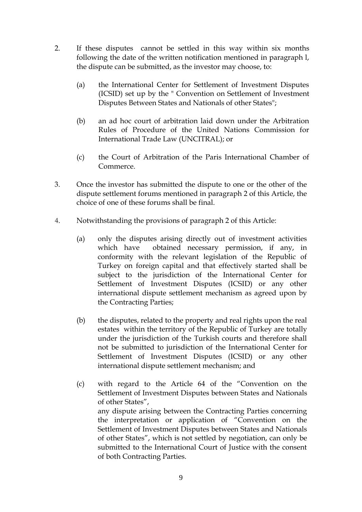- 2. If these disputes cannot be settled in this way within six months following the date of the written notification mentioned in paragraph l, the dispute can be submitted, as the investor may choose, to:
	- (a) the International Center for Settlement of Investment Disputes (ICSID) set up by the " Convention on Settlement of Investment Disputes Between States and Nationals of other States";
	- (b) an ad hoc court of arbitration laid down under the Arbitration Rules of Procedure of the United Nations Commission for International Trade Law (UNCITRAL); or
	- (c) the Court of Arbitration of the Paris International Chamber of Commerce.
- 3. Once the investor has submitted the dispute to one or the other of the dispute settlement forums mentioned in paragraph 2 of this Article, the choice of one of these forums shall be final.
- 4. Notwithstanding the provisions of paragraph 2 of this Article:
	- (a) only the disputes arising directly out of investment activities which have obtained necessary permission, if any, in conformity with the relevant legislation of the Republic of Turkey on foreign capital and that effectively started shall be subject to the jurisdiction of the International Center for Settlement of Investment Disputes (ICSID) or any other international dispute settlement mechanism as agreed upon by the Contracting Parties;
	- (b) the disputes, related to the property and real rights upon the real estates within the territory of the Republic of Turkey are totally under the jurisdiction of the Turkish courts and therefore shall not be submitted to jurisdiction of the International Center for Settlement of Investment Disputes (ICSID) or any other international dispute settlement mechanism; and
	- (c) with regard to the Article 64 of the "Convention on the Settlement of Investment Disputes between States and Nationals of other States", any dispute arising between the Contracting Parties concerning the interpretation or application of "Convention on the Settlement of Investment Disputes between States and Nationals of other States", which is not settled by negotiation, can only be submitted to the International Court of Justice with the consent of both Contracting Parties.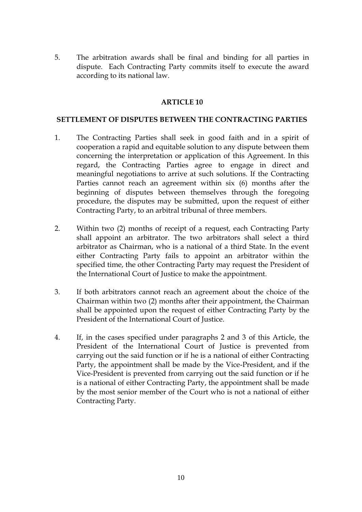5. The arbitration awards shall be final and binding for all parties in dispute. Each Contracting Party commits itself to execute the award according to its national law.

## **ARTICLE 10**

### **SETTLEMENT OF DISPUTES BETWEEN THE CONTRACTING PARTIES**

- 1. The Contracting Parties shall seek in good faith and in a spirit of cooperation a rapid and equitable solution to any dispute between them concerning the interpretation or application of this Agreement. In this regard, the Contracting Parties agree to engage in direct and meaningful negotiations to arrive at such solutions. If the Contracting Parties cannot reach an agreement within six (6) months after the beginning of disputes between themselves through the foregoing procedure, the disputes may be submitted, upon the request of either Contracting Party, to an arbitral tribunal of three members.
- 2. Within two (2) months of receipt of a request, each Contracting Party shall appoint an arbitrator. The two arbitrators shall select a third arbitrator as Chairman, who is a national of a third State. In the event either Contracting Party fails to appoint an arbitrator within the specified time, the other Contracting Party may request the President of the International Court of Justice to make the appointment.
- 3. If both arbitrators cannot reach an agreement about the choice of the Chairman within two (2) months after their appointment, the Chairman shall be appointed upon the request of either Contracting Party by the President of the International Court of Justice.
- 4. If, in the cases specified under paragraphs 2 and 3 of this Article, the President of the International Court of Justice is prevented from carrying out the said function or if he is a national of either Contracting Party, the appointment shall be made by the Vice-President, and if the Vice-President is prevented from carrying out the said function or if he is a national of either Contracting Party, the appointment shall be made by the most senior member of the Court who is not a national of either Contracting Party.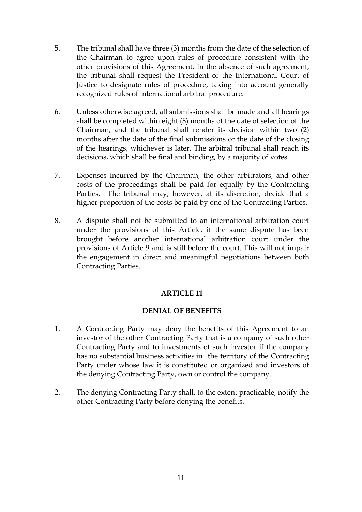- 5. The tribunal shall have three (3) months from the date of the selection of the Chairman to agree upon rules of procedure consistent with the other provisions of this Agreement. In the absence of such agreement, the tribunal shall request the President of the International Court of Justice to designate rules of procedure, taking into account generally recognized rules of international arbitral procedure.
- 6. Unless otherwise agreed, all submissions shall be made and all hearings shall be completed within eight (8) months of the date of selection of the Chairman, and the tribunal shall render its decision within two (2) months after the date of the final submissions or the date of the closing of the hearings, whichever is later. The arbitral tribunal shall reach its decisions, which shall be final and binding, by a majority of votes.
- 7. Expenses incurred by the Chairman, the other arbitrators, and other costs of the proceedings shall be paid for equally by the Contracting Parties. The tribunal may, however, at its discretion, decide that a higher proportion of the costs be paid by one of the Contracting Parties.
- 8. A dispute shall not be submitted to an international arbitration court under the provisions of this Article, if the same dispute has been brought before another international arbitration court under the provisions of Article 9 and is still before the court. This will not impair the engagement in direct and meaningful negotiations between both Contracting Parties.

## **ARTICLE 11**

## **DENIAL OF BENEFITS**

- 1. A Contracting Party may deny the benefits of this Agreement to an investor of the other Contracting Party that is a company of such other Contracting Party and to investments of such investor if the company has no substantial business activities in the territory of the Contracting Party under whose law it is constituted or organized and investors of the denying Contracting Party, own or control the company.
- 2. The denying Contracting Party shall, to the extent practicable, notify the other Contracting Party before denying the benefits.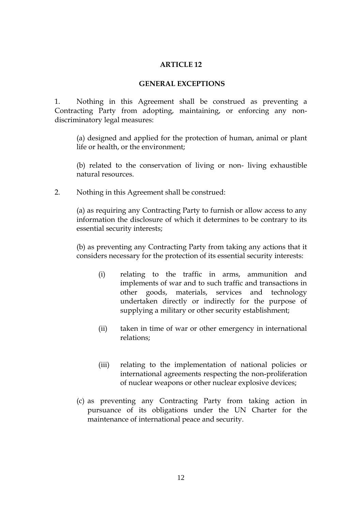### **ARTICLE 12**

### **GENERAL EXCEPTIONS**

1. Nothing in this Agreement shall be construed as preventing a Contracting Party from adopting, maintaining, or enforcing any nondiscriminatory legal measures:

(a) designed and applied for the protection of human, animal or plant life or health, or the environment;

(b) related to the conservation of living or non- living exhaustible natural resources.

2. Nothing in this Agreement shall be construed:

(a) as requiring any Contracting Party to furnish or allow access to any information the disclosure of which it determines to be contrary to its essential security interests;

(b) as preventing any Contracting Party from taking any actions that it considers necessary for the protection of its essential security interests:

- (i) relating to the traffic in arms, ammunition and implements of war and to such traffic and transactions in other goods, materials, services and technology undertaken directly or indirectly for the purpose of supplying a military or other security establishment;
- (ii) taken in time of war or other emergency in international relations;
- (iii) relating to the implementation of national policies or international agreements respecting the non-proliferation of nuclear weapons or other nuclear explosive devices;
- (c) as preventing any Contracting Party from taking action in pursuance of its obligations under the UN Charter for the maintenance of international peace and security.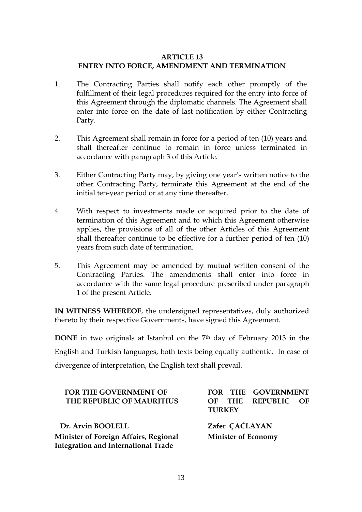# **ARTICLE 13 ENTRY INTO FORCE, AMENDMENT AND TERMINATION**

- 1. The Contracting Parties shall notify each other promptly of the fulfillment of their legal procedures required for the entry into force of this Agreement through the diplomatic channels. The Agreement shall enter into force on the date of last notification by either Contracting Party.
- 2. This Agreement shall remain in force for a period of ten (10) years and shall thereafter continue to remain in force unless terminated in accordance with paragraph 3 of this Article.
- 3. Either Contracting Party may, by giving one year's written notice to the other Contracting Party, terminate this Agreement at the end of the initial ten-year period or at any time thereafter.
- 4. With respect to investments made or acquired prior to the date of termination of this Agreement and to which this Agreement otherwise applies, the provisions of all of the other Articles of this Agreement shall thereafter continue to be effective for a further period of ten (10) years from such date of termination.
- 5. This Agreement may be amended by mutual written consent of the Contracting Parties. The amendments shall enter into force in accordance with the same legal procedure prescribed under paragraph 1 of the present Article.

**IN WITNESS WHEREOF**, the undersigned representatives, duly authorized thereto by their respective Governments, have signed this Agreement.

**DONE** in two originals at Istanbul on the 7<sup>th</sup> day of February 2013 in the English and Turkish languages, both texts being equally authentic. In case of divergence of interpretation, the English text shall prevail.

| <b>FOR THE GOVERNMENT OF</b><br>THE REPUBLIC OF MAURITIUS                                  | FOR THE GOVERNMENT<br>OF THE REPUBLIC<br>– OF<br><b>TURKEY</b> |
|--------------------------------------------------------------------------------------------|----------------------------------------------------------------|
| Dr. Arvin BOOLELL                                                                          | Zafer ÇAČLAYAN                                                 |
| <b>Minister of Foreign Affairs, Regional</b><br><b>Integration and International Trade</b> | <b>Minister of Economy</b>                                     |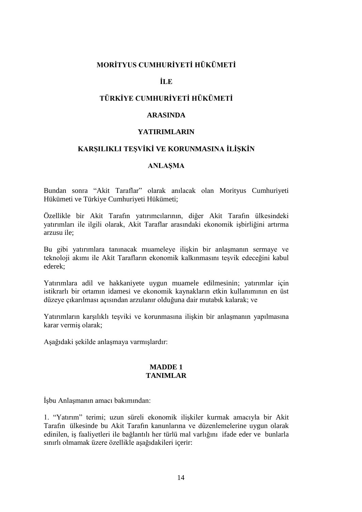## **MORİTYUS CUMHURİYETİ HÜKÜMETİ**

### **İLE**

# **TÜRKİYE CUMHURİYETİ HÜKÜMETİ**

#### **ARASINDA**

### **YATIRIMLARIN**

#### **KARŞILIKLI TEŞVİKİ VE KORUNMASINA İLİŞKİN**

#### **ANLAŞMA**

Bundan sonra "Akit Taraflar" olarak anılacak olan Morityus Cumhuriyeti Hükümeti ve Türkiye Cumhuriyeti Hükümeti;

Özellikle bir Akit Tarafın yatırımcılarının, diğer Akit Tarafın ülkesindeki yatırımları ile ilgili olarak, Akit Taraflar arasındaki ekonomik işbirliğini artırma arzusu ile;

Bu gibi yatırımlara tanınacak muameleye ilişkin bir anlaşmanın sermaye ve teknoloji akımı ile Akit Tarafların ekonomik kalkınmasını teşvik edeceğini kabul ederek;

Yatırımlara adil ve hakkaniyete uygun muamele edilmesinin; yatırımlar için istikrarlı bir ortamın idamesi ve ekonomik kaynakların etkin kullanımının en üst düzeye çıkarılması açısından arzulanır olduğuna dair mutabık kalarak; ve

Yatırımların karşılıklı teşviki ve korunmasına ilişkin bir anlaşmanın yapılmasına karar vermiş olarak;

Aşağıdaki şekilde anlaşmaya varmışlardır:

#### **MADDE 1 TANIMLAR**

İşbu Anlaşmanın amacı bakımından:

1. "Yatırım" terimi; uzun süreli ekonomik ilişkiler kurmak amacıyla bir Akit Tarafın ülkesinde bu Akit Tarafın kanunlarına ve düzenlemelerine uygun olarak edinilen, iş faaliyetleri ile bağlantılı her türlü mal varlığını ifade eder ve bunlarla sınırlı olmamak üzere özellikle aşağıdakileri içerir: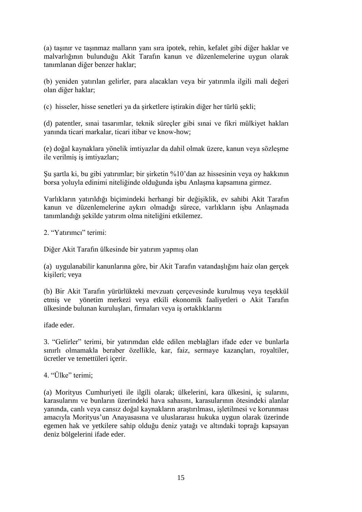(a) taşınır ve taşınmaz malların yanı sıra ipotek, rehin, kefalet gibi diğer haklar ve malvarlığının bulunduğu Akit Tarafın kanun ve düzenlemelerine uygun olarak tanımlanan diğer benzer haklar;

(b) yeniden yatırılan gelirler, para alacakları veya bir yatırımla ilgili mali değeri olan diğer haklar;

(c) hisseler, hisse senetleri ya da şirketlere iştirakin diğer her türlü şekli;

(d) patentler, sınai tasarımlar, teknik süreçler gibi sınai ve fikri mülkiyet hakları yanında ticari markalar, ticari itibar ve know-how;

(e) doğal kaynaklara yönelik imtiyazlar da dahil olmak üzere, kanun veya sözleşme ile verilmiş iş imtiyazları;

Şu şartla ki, bu gibi yatırımlar; bir şirketin %10'dan az hissesinin veya oy hakkının borsa yoluyla edinimi niteliğinde olduğunda işbu Anlaşma kapsamına girmez.

Varlıkların yatırıldığı biçimindeki herhangi bir değişiklik, ev sahibi Akit Tarafın kanun ve düzenlemelerine aykırı olmadığı sürece, varlıkların işbu Anlaşmada tanımlandığı şekilde yatırım olma niteliğini etkilemez.

2. "Yatırımcı" terimi:

Diğer Akit Tarafın ülkesinde bir yatırım yapmış olan

(a) uygulanabilir kanunlarına göre, bir Akit Tarafın vatandaşlığını haiz olan gerçek kişileri; veya

(b) Bir Akit Tarafın yürürlükteki mevzuatı çerçevesinde kurulmuş veya teşekkül etmiş ve yönetim merkezi veya etkili ekonomik faaliyetleri o Akit Tarafın ülkesinde bulunan kuruluşları, firmaları veya iş ortaklıklarını

ifade eder.

3. "Gelirler" terimi, bir yatırımdan elde edilen meblağları ifade eder ve bunlarla sınırlı olmamakla beraber özellikle, kar, faiz, sermaye kazançları, royaltiler, ücretler ve temettüleri içerir.

4. "Ülke" terimi;

(a) Morityus Cumhuriyeti ile ilgili olarak; ülkelerini, kara ülkesini, iç sularını, karasularını ve bunların üzerindeki hava sahasını, karasularının ötesindeki alanlar yanında, canlı veya cansız doğal kaynakların araştırılması, işletilmesi ve korunması amacıyla Morityus'un Anayasasına ve uluslararası hukuka uygun olarak üzerinde egemen hak ve yetkilere sahip olduğu deniz yatağı ve altındaki toprağı kapsayan deniz bölgelerini ifade eder.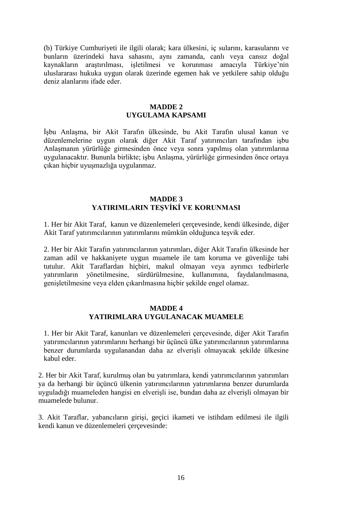(b) Türkiye Cumhuriyeti ile ilgili olarak; kara ülkesini, iç sularını, karasularını ve bunların üzerindeki hava sahasını, aynı zamanda, canlı veya cansız doğal kaynakların araştırılması, işletilmesi ve korunması amacıyla Türkiye'nin uluslararası hukuka uygun olarak üzerinde egemen hak ve yetkilere sahip olduğu deniz alanlarını ifade eder.

#### **MADDE 2 UYGULAMA KAPSAMI**

İşbu Anlaşma, bir Akit Tarafın ülkesinde, bu Akit Tarafın ulusal kanun ve düzenlemelerine uygun olarak diğer Akit Taraf yatırımcıları tarafından işbu Anlaşmanın yürürlüğe girmesinden önce veya sonra yapılmış olan yatırımlarına uygulanacaktır. Bununla birlikte; işbu Anlaşma, yürürlüğe girmesinden önce ortaya çıkan hiçbir uyuşmazlığa uygulanmaz.

#### **MADDE 3 YATIRIMLARIN TEŞVİKİ VE KORUNMASI**

1. Her bir Akit Taraf, kanun ve düzenlemeleri çerçevesinde, kendi ülkesinde, diğer Akit Taraf yatırımcılarının yatırımlarını mümkün olduğunca teşvik eder.

2. Her bir Akit Tarafın yatırımcılarının yatırımları, diğer Akit Tarafın ülkesinde her zaman adil ve hakkaniyete uygun muamele ile tam koruma ve güvenliğe tabi tutulur. Akit Taraflardan hiçbiri, makul olmayan veya ayrımcı tedbirlerle yatırımların yönetilmesine, sürdürülmesine, kullanımına, faydalanılmasına, genişletilmesine veya elden çıkarılmasına hiçbir şekilde engel olamaz.

### **MADDE 4 YATIRIMLARA UYGULANACAK MUAMELE**

1. Her bir Akit Taraf, kanunları ve düzenlemeleri çerçevesinde, diğer Akit Tarafın yatırımcılarının yatırımlarını herhangi bir üçüncü ülke yatırımcılarının yatırımlarına benzer durumlarda uygulanandan daha az elverişli olmayacak şekilde ülkesine kabul eder.

2. Her bir Akit Taraf, kurulmuş olan bu yatırımlara, kendi yatırımcılarının yatırımları ya da herhangi bir üçüncü ülkenin yatırımcılarının yatırımlarına benzer durumlarda uyguladığı muameleden hangisi en elverişli ise, bundan daha az elverişli olmayan bir muamelede bulunur.

3. Akit Taraflar, yabancıların girişi, geçici ikameti ve istihdam edilmesi ile ilgili kendi kanun ve düzenlemeleri çerçevesinde: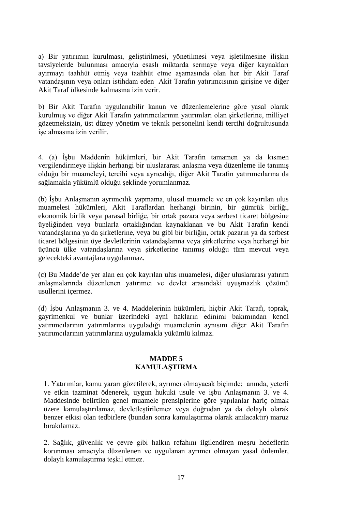a) Bir yatırımın kurulması, geliştirilmesi, yönetilmesi veya işletilmesine ilişkin tavsiyelerde bulunması amacıyla esaslı miktarda sermaye veya diğer kaynakları ayırmayı taahhüt etmiş veya taahhüt etme aşamasında olan her bir Akit Taraf vatandaşının veya onları istihdam eden Akit Tarafın yatırımcısının girişine ve diğer Akit Taraf ülkesinde kalmasına izin verir.

b) Bir Akit Tarafın uygulanabilir kanun ve düzenlemelerine göre yasal olarak kurulmuş ve diğer Akit Tarafın yatırımcılarının yatırımları olan şirketlerine, milliyet gözetmeksizin, üst düzey yönetim ve teknik personelini kendi tercihi doğrultusunda işe almasına izin verilir.

4. (a) İşbu Maddenin hükümleri, bir Akit Tarafın tamamen ya da kısmen vergilendirmeye ilişkin herhangi bir uluslararası anlaşma veya düzenleme ile tanımış olduğu bir muameleyi, tercihi veya ayrıcalığı, diğer Akit Tarafın yatırımcılarına da sağlamakla yükümlü olduğu şeklinde yorumlanmaz.

(b) İşbu Anlaşmanın ayrımcılık yapmama, ulusal muamele ve en çok kayırılan ulus muamelesi hükümleri, Akit Taraflardan herhangi birinin, bir gümrük birliği, ekonomik birlik veya parasal birliğe, bir ortak pazara veya serbest ticaret bölgesine üyeliğinden veya bunlarla ortaklığından kaynaklanan ve bu Akit Tarafın kendi vatandaşlarına ya da şirketlerine, veya bu gibi bir birliğin, ortak pazarın ya da serbest ticaret bölgesinin üye devletlerinin vatandaşlarına veya şirketlerine veya herhangi bir üçüncü ülke vatandaşlarına veya şirketlerine tanımış olduğu tüm mevcut veya gelecekteki avantajlara uygulanmaz.

(c) Bu Madde'de yer alan en çok kayrılan ulus muamelesi, diğer uluslararası yatırım anlaşmalarında düzenlenen yatırımcı ve devlet arasındaki uyuşmazlık çözümü usullerini içermez.

(d) İşbu Anlaşmanın 3. ve 4. Maddelerinin hükümleri, hiçbir Akit Tarafı, toprak, gayrimenkul ve bunlar üzerindeki ayni hakların edinimi bakımından kendi yatırımcılarının yatırımlarına uyguladığı muamelenin aynısını diğer Akit Tarafın yatırımcılarının yatırımlarına uygulamakla yükümlü kılmaz.

### **MADDE 5 KAMULAŞTIRMA**

1. Yatırımlar, kamu yararı gözetilerek, ayrımcı olmayacak biçimde; anında, yeterli ve etkin tazminat ödenerek, uygun hukuki usule ve işbu Anlaşmanın 3. ve 4. Maddesinde belirtilen genel muamele prensiplerine göre yapılanlar hariç olmak üzere kamulaştırılamaz, devletleştirilemez veya doğrudan ya da dolaylı olarak benzer etkisi olan tedbirlere (bundan sonra kamulaştırma olarak anılacaktır) maruz bırakılamaz.

2. Sağlık, güvenlik ve çevre gibi halkın refahını ilgilendiren meşru hedeflerin korunması amacıyla düzenlenen ve uygulanan ayrımcı olmayan yasal önlemler, dolaylı kamulaştırma teşkil etmez.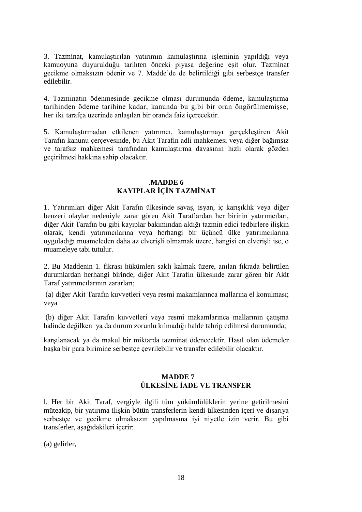3. Tazminat, kamulaştırılan yatırımın kamulaştırma işleminin yapıldığı veya kamuoyuna duyurulduğu tarihten önceki piyasa değerine eşit olur. Tazminat gecikme olmaksızın ödenir ve 7. Madde'de de belirtildiği gibi serbestçe transfer edilebilir.

4. Tazminatın ödenmesinde gecikme olması durumunda ödeme, kamulaştırma tarihinden ödeme tarihine kadar, kanunda bu gibi bir oran öngörülmemişse, her iki tarafça üzerinde anlaşılan bir oranda faiz içerecektir.

5. Kamulaştırmadan etkilenen yatırımcı, kamulaştırmayı gerçekleştiren Akit Tarafın kanunu çerçevesinde, bu Akit Tarafın adli mahkemesi veya diğer bağımsız ve tarafsız mahkemesi tarafından kamulaştırma davasının hızlı olarak gözden geçirilmesi hakkına sahip olacaktır.

### .**MADDE 6 KAYIPLAR İÇİN TAZMİNAT**

1. Yatırımları diğer Akit Tarafın ülkesinde savaş, isyan, iç karışıklık veya diğer benzeri olaylar nedeniyle zarar gören Akit Taraflardan her birinin yatırımcıları, diğer Akit Tarafın bu gibi kayıplar bakımından aldığı tazmin edici tedbirlere ilişkin olarak, kendi yatırımcılarına veya herhangi bir üçüncü ülke yatırımcılarına uyguladığı muameleden daha az elverişli olmamak üzere, hangisi en elverişli ise, o muameleye tabi tutulur.

2. Bu Maddenin 1. fıkrası hükümleri saklı kalmak üzere, anılan fıkrada belirtilen durumlardan herhangi birinde, diğer Akit Tarafın ülkesinde zarar gören bir Akit Taraf yatırımcılarının zararları;

(a) diğer Akit Tarafın kuvvetleri veya resmi makamlarınca mallarına el konulması; veya

(b) diğer Akit Tarafın kuvvetleri veya resmi makamlarınca mallarının çatışma halinde değilken ya da durum zorunlu kılmadığı halde tahrip edilmesi durumunda;

karşılanacak ya da makul bir miktarda tazminat ödenecektir. Hasıl olan ödemeler başka bir para birimine serbestçe çevrilebilir ve transfer edilebilir olacaktır.

## **MADDE 7 ÜLKESİNE İADE VE TRANSFER**

l. Her bir Akit Taraf, vergiyle ilgili tüm yükümlülüklerin yerine getirilmesini müteakip, bir yatırıma ilişkin bütün transferlerin kendi ülkesinden içeri ve dışarıya serbestçe ve gecikme olmaksızın yapılmasına iyi niyetle izin verir. Bu gibi transferler, aşağıdakileri içerir:

(a) gelirler,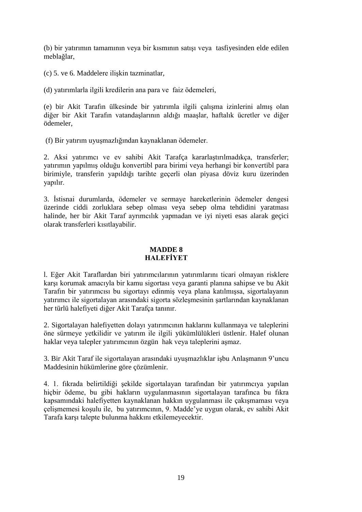(b) bir yatırımın tamamının veya bir kısmının satışı veya tasfiyesinden elde edilen meblağlar,

(c) 5. ve 6. Maddelere ilişkin tazminatlar,

(d) yatırımlarla ilgili kredilerin ana para ve faiz ödemeleri,

(e) bir Akit Tarafın ülkesinde bir yatırımla ilgili çalışma izinlerini almış olan diğer bir Akit Tarafın vatandaşlarının aldığı maaşlar, haftalık ücretler ve diğer ödemeler,

(f) Bir yatırım uyuşmazlığından kaynaklanan ödemeler.

2. Aksi yatırımcı ve ev sahibi Akit Tarafça kararlaştırılmadıkça, transferler; yatırımın yapılmış olduğu konvertibl para birimi veya herhangi bir konvertibl para birimiyle, transferin yapıldığı tarihte geçerli olan piyasa döviz kuru üzerinden yapılır.

3. İstisnai durumlarda, ödemeler ve sermaye hareketlerinin ödemeler dengesi üzerinde ciddi zorluklara sebep olması veya sebep olma tehdidini yaratması halinde, her bir Akit Taraf ayrımcılık yapmadan ve iyi niyeti esas alarak geçici olarak transferleri kısıtlayabilir.

## **MADDE 8 HALEFİYET**

l. Eğer Akit Taraflardan biri yatırımcılarının yatırımlarını ticari olmayan risklere karşı korumak amacıyla bir kamu sigortası veya garanti planına sahipse ve bu Akit Tarafın bir yatırımcısı bu sigortayı edinmiş veya plana katılmışsa, sigortalayanın yatırımcı ile sigortalayan arasındaki sigorta sözleşmesinin şartlarından kaynaklanan her türlü halefiyeti diğer Akit Tarafça tanınır.

2. Sigortalayan halefiyetten dolayı yatırımcının haklarını kullanmaya ve taleplerini öne sürmeye yetkilidir ve yatırım ile ilgili yükümlülükleri üstlenir. Halef olunan haklar veya talepler yatırımcının özgün hak veya taleplerini aşmaz.

3. Bir Akit Taraf ile sigortalayan arasındaki uyuşmazlıklar işbu Anlaşmanın 9'uncu Maddesinin hükümlerine göre çözümlenir.

4. 1. fıkrada belirtildiği şekilde sigortalayan tarafından bir yatırımcıya yapılan hiçbir ödeme, bu gibi hakların uygulanmasının sigortalayan tarafınca bu fıkra kapsamındaki halefiyetten kaynaklanan hakkın uygulanması ile çakışmaması veya çelişmemesi koşulu ile, bu yatırımcının, 9. Madde'ye uygun olarak, ev sahibi Akit Tarafa karşı talepte bulunma hakkını etkilemeyecektir.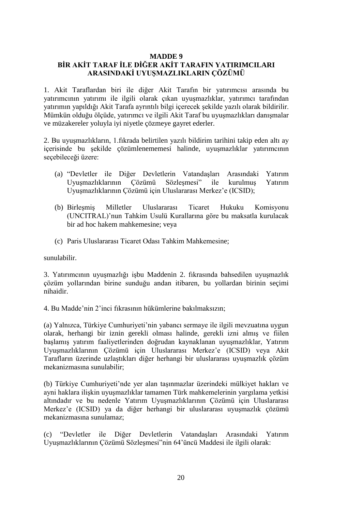### **MADDE 9**

# **BİR AKİT TARAF İLE DİĞER AKİT TARAFIN YATIRIMCILARI ARASINDAKİ UYUŞMAZLIKLARIN ÇÖZÜMÜ**

1. Akit Taraflardan biri ile diğer Akit Tarafın bir yatırımcısı arasında bu yatırımcının yatırımı ile ilgili olarak çıkan uyuşmazlıklar, yatırımcı tarafından yatırımın yapıldığı Akit Tarafa ayrıntılı bilgi içerecek şekilde yazılı olarak bildirilir. Mümkün olduğu ölçüde, yatırımcı ve ilgili Akit Taraf bu uyuşmazlıkları danışmalar ve müzakereler yoluyla iyi niyetle çözmeye gayret ederler.

2. Bu uyuşmazlıkların, 1.fıkrada belirtilen yazılı bildirim tarihini takip eden altı ay içerisinde bu şekilde çözümlenememesi halinde, uyuşmazlıklar yatırımcının seçebileceği üzere:

- (a) "Devletler ile Diğer Devletlerin Vatandaşları Arasındaki Yatırım Uyuşmazlıklarının Çözümü Sözleşmesi" ile kurulmuş Yatırım Uyuşmazlıklarının Çözümü için Uluslararası Merkez'e (ICSID);
- (b) Birleşmiş Milletler Uluslararası Ticaret Hukuku Komisyonu (UNCITRAL)'nun Tahkim Usulü Kurallarına göre bu maksatla kurulacak bir ad hoc hakem mahkemesine; veya
- (c) Paris Uluslararası Ticaret Odası Tahkim Mahkemesine;

sunulabilir.

3. Yatırımcının uyuşmazlığı işbu Maddenin 2. fıkrasında bahsedilen uyuşmazlık çözüm yollarından birine sunduğu andan itibaren, bu yollardan birinin seçimi nihaidir.

4. Bu Madde'nin 2'inci fıkrasının hükümlerine bakılmaksızın;

(a) Yalnızca, Türkiye Cumhuriyeti'nin yabancı sermaye ile ilgili mevzuatına uygun olarak, herhangi bir iznin gerekli olması halinde, gerekli izni almış ve fiilen başlamış yatırım faaliyetlerinden doğrudan kaynaklanan uyuşmazlıklar, Yatırım Uyuşmazlıklarının Çözümü için Uluslararası Merkez'e (ICSID) veya Akit Tarafların üzerinde uzlaştıkları diğer herhangi bir uluslararası uyuşmazlık çözüm mekanizmasına sunulabilir;

(b) Türkiye Cumhuriyeti'nde yer alan taşınmazlar üzerindeki mülkiyet hakları ve ayni haklara ilişkin uyuşmazlıklar tamamen Türk mahkemelerinin yargılama yetkisi altındadır ve bu nedenle Yatırım Uyuşmazlıklarının Çözümü için Uluslararası Merkez'e (ICSID) ya da diğer herhangi bir uluslararası uyuşmazlık çözümü mekanizmasına sunulamaz;

(c) "Devletler ile Diğer Devletlerin Vatandaşları Arasındaki Yatırım Uyuşmazlıklarının Çözümü Sözleşmesi"nin 64'üncü Maddesi ile ilgili olarak: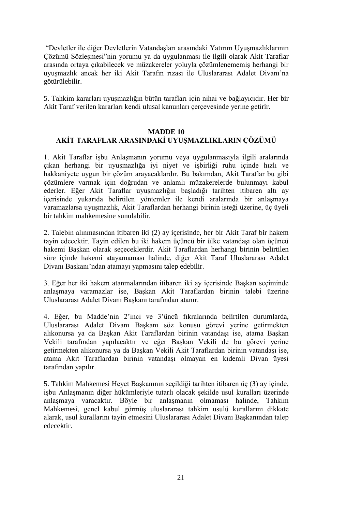"Devletler ile diğer Devletlerin Vatandaşları arasındaki Yatırım Uyuşmazlıklarının Çözümü Sözleşmesi"nin yorumu ya da uygulanması ile ilgili olarak Akit Taraflar arasında ortaya çıkabilecek ve müzakereler yoluyla çözümlenememiş herhangi bir uyuşmazlık ancak her iki Akit Tarafın rızası ile Uluslararası Adalet Divanı'na götürülebilir.

5. Tahkim kararları uyuşmazlığın bütün tarafları için nihai ve bağlayıcıdır. Her bir Akit Taraf verilen kararları kendi ulusal kanunları çerçevesinde yerine getirir.

### **MADDE 10 AKİT TARAFLAR ARASINDAKİ UYUŞMAZLIKLARIN ÇÖZÜMÜ**

1. Akit Taraflar işbu Anlaşmanın yorumu veya uygulanmasıyla ilgili aralarında çıkan herhangi bir uyuşmazlığa iyi niyet ve işbirliği ruhu içinde hızlı ve hakkaniyete uygun bir çözüm arayacaklardır. Bu bakımdan, Akit Taraflar bu gibi çözümlere varmak için doğrudan ve anlamlı müzakerelerde bulunmayı kabul ederler. Eğer Akit Taraflar uyuşmazlığın başladığı tarihten itibaren altı ay içerisinde yukarıda belirtilen yöntemler ile kendi aralarında bir anlaşmaya varamazlarsa uyuşmazlık, Akit Taraflardan herhangi birinin isteği üzerine, üç üyeli bir tahkim mahkemesine sunulabilir.

2. Talebin alınmasından itibaren iki (2) ay içerisinde, her bir Akit Taraf bir hakem tayin edecektir. Tayin edilen bu iki hakem üçüncü bir ülke vatandaşı olan üçüncü hakemi Başkan olarak seçeceklerdir. Akit Taraflardan herhangi birinin belirtilen süre içinde hakemi atayamaması halinde, diğer Akit Taraf Uluslararası Adalet Divanı Başkanı'ndan atamayı yapmasını talep edebilir.

3. Eğer her iki hakem atanmalarından itibaren iki ay içerisinde Başkan seçiminde anlaşmaya varamazlar ise, Başkan Akit Taraflardan birinin talebi üzerine Uluslararası Adalet Divanı Başkanı tarafından atanır.

4. Eğer, bu Madde'nin 2'inci ve 3'üncü fıkralarında belirtilen durumlarda, Uluslararası Adalet Divanı Başkanı söz konusu görevi yerine getirmekten alıkonursa ya da Başkan Akit Taraflardan birinin vatandaşı ise, atama Başkan Vekili tarafından yapılacaktır ve eğer Başkan Vekili de bu görevi yerine getirmekten alıkonursa ya da Başkan Vekili Akit Taraflardan birinin vatandaşı ise, atama Akit Taraflardan birinin vatandaşı olmayan en kıdemli Divan üyesi tarafından yapılır.

5. Tahkim Mahkemesi Heyet Başkanının seçildiği tarihten itibaren üç (3) ay içinde, işbu Anlaşmanın diğer hükümleriyle tutarlı olacak şekilde usul kuralları üzerinde anlaşmaya varacaktır. Böyle bir anlaşmanın olmaması halinde, Tahkim Mahkemesi, genel kabul görmüş uluslararası tahkim usulü kurallarını dikkate alarak, usul kurallarını tayin etmesini Uluslararası Adalet Divanı Başkanından talep edecektir.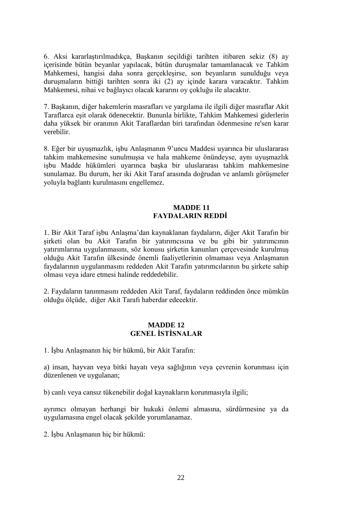6. Aksi kararlaştırılmadıkça, Başkanın seçildiği tarihten itibaren sekiz (8) ay içerisinde bütün beyanlar yapılacak, bütün duruşmalar tamamlanacak ve Tahkim Mahkemesi, hangisi daha sonra gerçekleşirse, son beyanların sunulduğu veya duruşmaların bittiği tarihten sonra iki (2) ay içinde karara varacaktır. Tahkim Mahkemesi, nihai ve bağlayıcı olacak kararını oy çokluğu ile alacaktır.

7. Başkanın, diğer hakemlerin masrafları ve yargılama ile ilgili diğer masraflar Akit Taraflarca eşit olarak ödenecektir. Bununla birlikte, Tahkim Mahkemesi giderlerin daha yüksek bir oranının Akit Taraflardan biri tarafından ödenmesine re'sen karar verebilir.

8. Eğer bir uyuşmazlık, işbu Anlaşmanın 9'uncu Maddesi uyarınca bir uluslararası tahkim mahkemesine sunulmuşsa ve hala mahkeme önündeyse, aynı uyuşmazlık işbu Madde hükümleri uyarınca başka bir uluslararası tahkim mahkemesine sunulamaz. Bu durum, her iki Akit Taraf arasında doğrudan ve anlamlı görüşmeler yoluyla bağlantı kurulmasını engellemez.

#### **MADDE 11 FAYDALARIN REDDİ**

1. Bir Akit Taraf işbu Anlaşma'dan kaynaklanan faydaların, diğer Akit Tarafın bir şirketi olan bu Akit Tarafın bir yatırımcısına ve bu gibi bir yatırımcının yatırımlarına uygulanmasını, söz konusu şirketin kanunları çerçevesinde kurulmuş olduğu Akit Tarafın ülkesinde önemli faaliyetlerinin olmaması veya Anlaşmanın faydalarının uygulanmasını reddeden Akit Tarafın yatırımcılarının bu şirkete sahip olması veya idare etmesi halinde reddedebilir.

2. Faydaların tanınmasını reddeden Akit Taraf, faydaların reddinden önce mümkün olduğu ölçüde, diğer Akit Tarafı haberdar edecektir.

### **MADDE 12 GENEL İSTİSNALAR**

1. İşbu Anlaşmanın hiç bir hükmü, bir Akit Tarafın:

a) insan, hayvan veya bitki hayatı veya sağlığının veya çevrenin korunması için düzenlenen ve uygulanan;

b) canlı veya cansız tükenebilir doğal kaynakların korunmasıyla ilgili;

ayrımcı olmayan herhangi bir hukuki önlemi almasına, sürdürmesine ya da uygulamasına engel olacak şekilde yorumlanamaz.

2. İşbu Anlaşmanın hiç bir hükmü: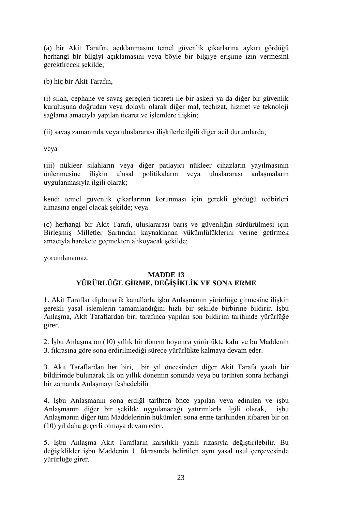(a) bir Akit Tarafın, açıklanmasını temel güvenlik çıkarlarına aykırı gördüğü herhangi bir bilgiyi açıklamasını veya böyle bir bilgiye erişime izin vermesini gerektirecek şekilde;

(b) hiç bir Akit Tarafın,

(i) silah, cephane ve savaş gereçleri ticareti ile bir askeri ya da diğer bir güvenlik kuruluşuna doğrudan veya dolaylı olarak diğer mal, teçhizat, hizmet ve teknoloji sağlama amacıyla yapılan ticaret ve işlemlere ilişkin;

(ii) savaş zamanında veya uluslararası ilişkilerle ilgili diğer acil durumlarda;

veya

(iii) nükleer silahların veya diğer patlayıcı nükleer cihazların yayılmasının önlenmesine ilişkin ulusal politikaların veya uluslararası anlaşmaların uygulanmasıyla ilgili olarak;

kendi temel güvenlik çıkarlarının korunması için gerekli gördüğü tedbirleri almasına engel olacak şekilde; veya

(c) herhangi bir Akit Tarafı, uluslararası barış ve güvenliğin sürdürülmesi için Birleşmiş Milletler Şartından kaynaklanan yükümlülüklerini yerine getirmek amacıyla harekete geçmekten alıkoyacak şekilde;

yorumlanamaz.

## **MADDE 13 YÜRÜRLÜĞE GİRME, DEĞİŞİKLİK VE SONA ERME**

1. Akit Taraflar diplomatik kanallarla işbu Anlaşmanın yürürlüğe girmesine ilişkin gerekli yasal işlemlerin tamamlandığını hızlı bir şekilde birbirine bildirir. İşbu Anlaşma, Akit Taraflardan biri tarafınca yapılan son bildirim tarihinde yürürlüğe girer.

2. İşbu Anlaşma on (10) yıllık bir dönem boyunca yürürlükte kalır ve bu Maddenin 3. fıkrasına göre sona erdirilmediği sürece yürürlükte kalmaya devam eder.

3. Akit Taraflardan her biri, bir yıl öncesinden diğer Akit Tarafa yazılı bir bildirimde bulunarak ilk on yıllık dönemin sonunda veya bu tarihten sonra herhangi bir zamanda Anlaşmayı feshedebilir.

4. İşbu Anlaşmanın sona erdiği tarihten önce yapılan veya edinilen ve işbu Anlaşmanın diğer bir şekilde uygulanacağı yatırımlarla ilgili olarak, işbu Anlaşmanın diğer tüm Maddelerinin hükümleri sona erme tarihinden itibaren bir on (10) yıl daha geçerli olmaya devam eder.

5. İşbu Anlaşma Akit Tarafların karşılıklı yazılı rızasıyla değiştirilebilir. Bu değişiklikler işbu Maddenin 1. fıkrasında belirtilen aynı yasal usul çerçevesinde yürürlüğe girer.